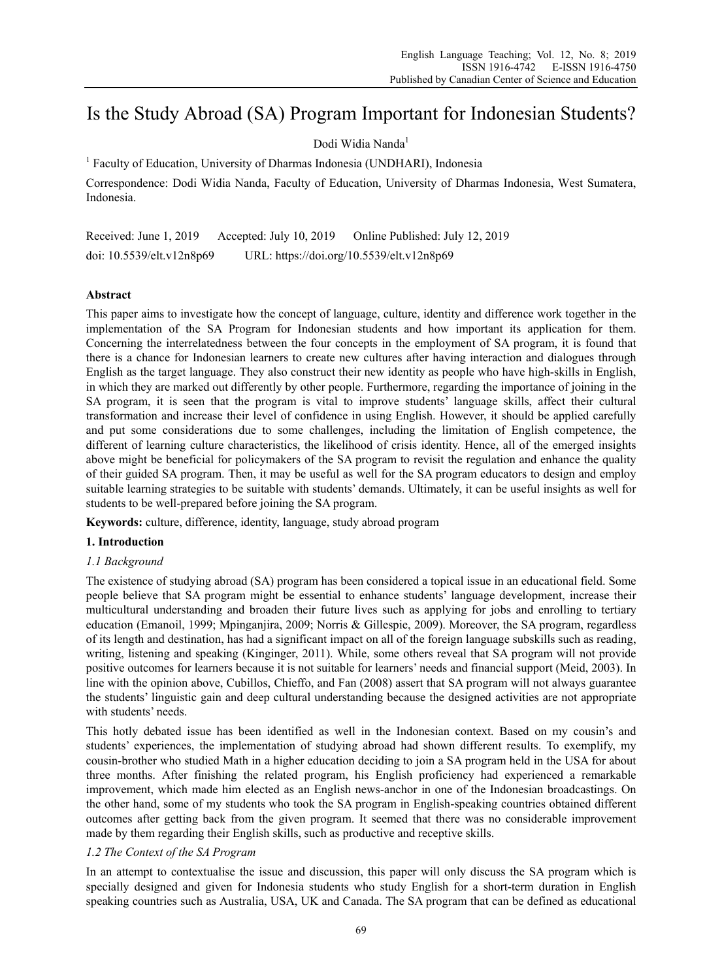# Is the Study Abroad (SA) Program Important for Indonesian Students?

# Dodi Widia Nanda<sup>1</sup>

<sup>1</sup> Faculty of Education, University of Dharmas Indonesia (UNDHARI), Indonesia

Correspondence: Dodi Widia Nanda, Faculty of Education, University of Dharmas Indonesia, West Sumatera, Indonesia.

Received: June 1, 2019 Accepted: July 10, 2019 Online Published: July 12, 2019 doi: 10.5539/elt.v12n8p69 URL: https://doi.org/10.5539/elt.v12n8p69

# **Abstract**

This paper aims to investigate how the concept of language, culture, identity and difference work together in the implementation of the SA Program for Indonesian students and how important its application for them. Concerning the interrelatedness between the four concepts in the employment of SA program, it is found that there is a chance for Indonesian learners to create new cultures after having interaction and dialogues through English as the target language. They also construct their new identity as people who have high-skills in English, in which they are marked out differently by other people. Furthermore, regarding the importance of joining in the SA program, it is seen that the program is vital to improve students' language skills, affect their cultural transformation and increase their level of confidence in using English. However, it should be applied carefully and put some considerations due to some challenges, including the limitation of English competence, the different of learning culture characteristics, the likelihood of crisis identity. Hence, all of the emerged insights above might be beneficial for policymakers of the SA program to revisit the regulation and enhance the quality of their guided SA program. Then, it may be useful as well for the SA program educators to design and employ suitable learning strategies to be suitable with students' demands. Ultimately, it can be useful insights as well for students to be well-prepared before joining the SA program.

**Keywords:** culture, difference, identity, language, study abroad program

## **1. Introduction**

## *1.1 Background*

The existence of studying abroad (SA) program has been considered a topical issue in an educational field. Some people believe that SA program might be essential to enhance students' language development, increase their multicultural understanding and broaden their future lives such as applying for jobs and enrolling to tertiary education (Emanoil, 1999; Mpinganjira, 2009; Norris & Gillespie, 2009). Moreover, the SA program, regardless of its length and destination, has had a significant impact on all of the foreign language subskills such as reading, writing, listening and speaking (Kinginger, 2011). While, some others reveal that SA program will not provide positive outcomes for learners because it is not suitable for learners' needs and financial support (Meid, 2003). In line with the opinion above, Cubillos, Chieffo, and Fan (2008) assert that SA program will not always guarantee the students' linguistic gain and deep cultural understanding because the designed activities are not appropriate with students' needs.

This hotly debated issue has been identified as well in the Indonesian context. Based on my cousin's and students' experiences, the implementation of studying abroad had shown different results. To exemplify, my cousin-brother who studied Math in a higher education deciding to join a SA program held in the USA for about three months. After finishing the related program, his English proficiency had experienced a remarkable improvement, which made him elected as an English news-anchor in one of the Indonesian broadcastings. On the other hand, some of my students who took the SA program in English-speaking countries obtained different outcomes after getting back from the given program. It seemed that there was no considerable improvement made by them regarding their English skills, such as productive and receptive skills.

## *1.2 The Context of the SA Program*

In an attempt to contextualise the issue and discussion, this paper will only discuss the SA program which is specially designed and given for Indonesia students who study English for a short-term duration in English speaking countries such as Australia, USA, UK and Canada. The SA program that can be defined as educational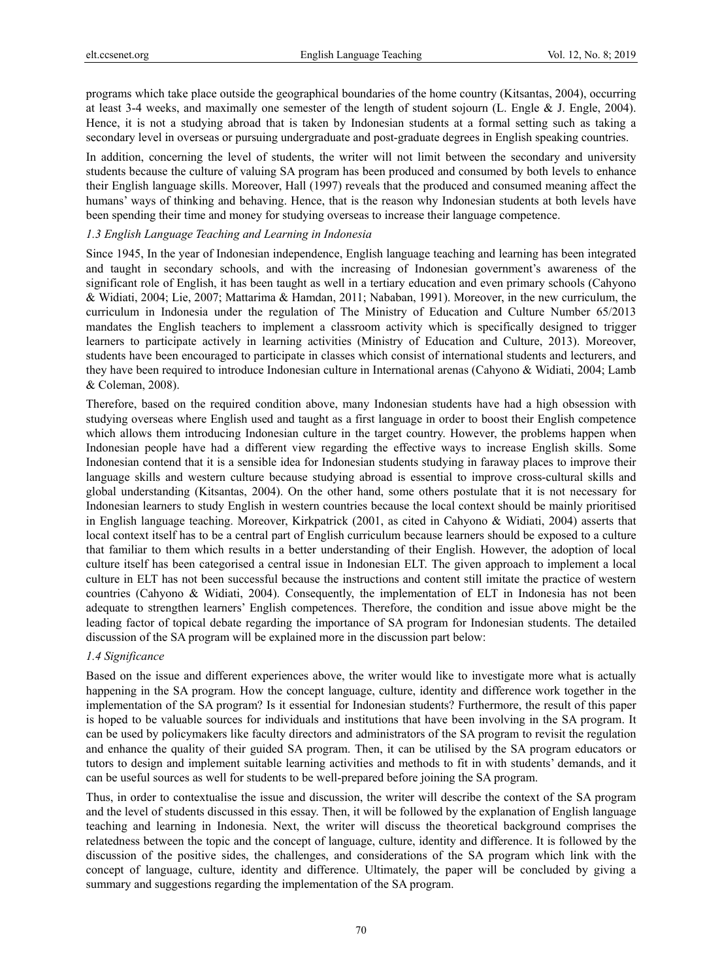programs which take place outside the geographical boundaries of the home country (Kitsantas, 2004), occurring at least 3-4 weeks, and maximally one semester of the length of student sojourn (L. Engle & J. Engle, 2004). Hence, it is not a studying abroad that is taken by Indonesian students at a formal setting such as taking a secondary level in overseas or pursuing undergraduate and post-graduate degrees in English speaking countries.

In addition, concerning the level of students, the writer will not limit between the secondary and university students because the culture of valuing SA program has been produced and consumed by both levels to enhance their English language skills. Moreover, Hall (1997) reveals that the produced and consumed meaning affect the humans' ways of thinking and behaving. Hence, that is the reason why Indonesian students at both levels have been spending their time and money for studying overseas to increase their language competence.

#### *1.3 English Language Teaching and Learning in Indonesia*

Since 1945, In the year of Indonesian independence, English language teaching and learning has been integrated and taught in secondary schools, and with the increasing of Indonesian government's awareness of the significant role of English, it has been taught as well in a tertiary education and even primary schools (Cahyono & Widiati, 2004; Lie, 2007; Mattarima & Hamdan, 2011; Nababan, 1991). Moreover, in the new curriculum, the curriculum in Indonesia under the regulation of The Ministry of Education and Culture Number 65/2013 mandates the English teachers to implement a classroom activity which is specifically designed to trigger learners to participate actively in learning activities (Ministry of Education and Culture, 2013). Moreover, students have been encouraged to participate in classes which consist of international students and lecturers, and they have been required to introduce Indonesian culture in International arenas (Cahyono & Widiati, 2004; Lamb & Coleman, 2008).

Therefore, based on the required condition above, many Indonesian students have had a high obsession with studying overseas where English used and taught as a first language in order to boost their English competence which allows them introducing Indonesian culture in the target country. However, the problems happen when Indonesian people have had a different view regarding the effective ways to increase English skills. Some Indonesian contend that it is a sensible idea for Indonesian students studying in faraway places to improve their language skills and western culture because studying abroad is essential to improve cross-cultural skills and global understanding (Kitsantas, 2004). On the other hand, some others postulate that it is not necessary for Indonesian learners to study English in western countries because the local context should be mainly prioritised in English language teaching. Moreover, Kirkpatrick (2001, as cited in Cahyono & Widiati, 2004) asserts that local context itself has to be a central part of English curriculum because learners should be exposed to a culture that familiar to them which results in a better understanding of their English. However, the adoption of local culture itself has been categorised a central issue in Indonesian ELT. The given approach to implement a local culture in ELT has not been successful because the instructions and content still imitate the practice of western countries (Cahyono & Widiati, 2004). Consequently, the implementation of ELT in Indonesia has not been adequate to strengthen learners' English competences. Therefore, the condition and issue above might be the leading factor of topical debate regarding the importance of SA program for Indonesian students. The detailed discussion of the SA program will be explained more in the discussion part below:

# *1.4 Significance*

Based on the issue and different experiences above, the writer would like to investigate more what is actually happening in the SA program. How the concept language, culture, identity and difference work together in the implementation of the SA program? Is it essential for Indonesian students? Furthermore, the result of this paper is hoped to be valuable sources for individuals and institutions that have been involving in the SA program. It can be used by policymakers like faculty directors and administrators of the SA program to revisit the regulation and enhance the quality of their guided SA program. Then, it can be utilised by the SA program educators or tutors to design and implement suitable learning activities and methods to fit in with students' demands, and it can be useful sources as well for students to be well-prepared before joining the SA program.

Thus, in order to contextualise the issue and discussion, the writer will describe the context of the SA program and the level of students discussed in this essay. Then, it will be followed by the explanation of English language teaching and learning in Indonesia. Next, the writer will discuss the theoretical background comprises the relatedness between the topic and the concept of language, culture, identity and difference. It is followed by the discussion of the positive sides, the challenges, and considerations of the SA program which link with the concept of language, culture, identity and difference. Ultimately, the paper will be concluded by giving a summary and suggestions regarding the implementation of the SA program.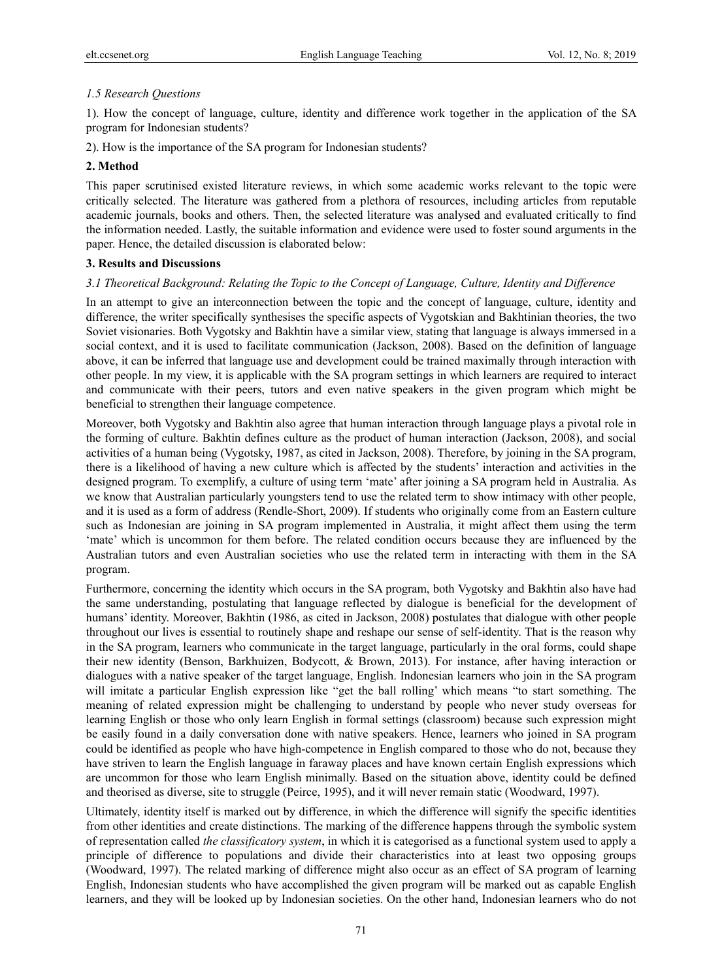# *1.5 Research Questions*

1). How the concept of language, culture, identity and difference work together in the application of the SA program for Indonesian students?

2). How is the importance of the SA program for Indonesian students?

# **2. Method**

This paper scrutinised existed literature reviews, in which some academic works relevant to the topic were critically selected. The literature was gathered from a plethora of resources, including articles from reputable academic journals, books and others. Then, the selected literature was analysed and evaluated critically to find the information needed. Lastly, the suitable information and evidence were used to foster sound arguments in the paper. Hence, the detailed discussion is elaborated below:

# **3. Results and Discussions**

# *3.1 Theoretical Background: Relating the Topic to the Concept of Language, Culture, Identity and Difference*

In an attempt to give an interconnection between the topic and the concept of language, culture, identity and difference, the writer specifically synthesises the specific aspects of Vygotskian and Bakhtinian theories, the two Soviet visionaries. Both Vygotsky and Bakhtin have a similar view, stating that language is always immersed in a social context, and it is used to facilitate communication (Jackson, 2008). Based on the definition of language above, it can be inferred that language use and development could be trained maximally through interaction with other people. In my view, it is applicable with the SA program settings in which learners are required to interact and communicate with their peers, tutors and even native speakers in the given program which might be beneficial to strengthen their language competence.

Moreover, both Vygotsky and Bakhtin also agree that human interaction through language plays a pivotal role in the forming of culture. Bakhtin defines culture as the product of human interaction (Jackson, 2008), and social activities of a human being (Vygotsky, 1987, as cited in Jackson, 2008). Therefore, by joining in the SA program, there is a likelihood of having a new culture which is affected by the students' interaction and activities in the designed program. To exemplify, a culture of using term 'mate' after joining a SA program held in Australia. As we know that Australian particularly youngsters tend to use the related term to show intimacy with other people, and it is used as a form of address (Rendle-Short, 2009). If students who originally come from an Eastern culture such as Indonesian are joining in SA program implemented in Australia, it might affect them using the term 'mate' which is uncommon for them before. The related condition occurs because they are influenced by the Australian tutors and even Australian societies who use the related term in interacting with them in the SA program.

Furthermore, concerning the identity which occurs in the SA program, both Vygotsky and Bakhtin also have had the same understanding, postulating that language reflected by dialogue is beneficial for the development of humans' identity. Moreover, Bakhtin (1986, as cited in Jackson, 2008) postulates that dialogue with other people throughout our lives is essential to routinely shape and reshape our sense of self-identity. That is the reason why in the SA program, learners who communicate in the target language, particularly in the oral forms, could shape their new identity (Benson, Barkhuizen, Bodycott, & Brown, 2013). For instance, after having interaction or dialogues with a native speaker of the target language, English. Indonesian learners who join in the SA program will imitate a particular English expression like "get the ball rolling' which means "to start something. The meaning of related expression might be challenging to understand by people who never study overseas for learning English or those who only learn English in formal settings (classroom) because such expression might be easily found in a daily conversation done with native speakers. Hence, learners who joined in SA program could be identified as people who have high-competence in English compared to those who do not, because they have striven to learn the English language in faraway places and have known certain English expressions which are uncommon for those who learn English minimally. Based on the situation above, identity could be defined and theorised as diverse, site to struggle (Peirce, 1995), and it will never remain static (Woodward, 1997).

Ultimately, identity itself is marked out by difference, in which the difference will signify the specific identities from other identities and create distinctions. The marking of the difference happens through the symbolic system of representation called *the classificatory system*, in which it is categorised as a functional system used to apply a principle of difference to populations and divide their characteristics into at least two opposing groups (Woodward, 1997). The related marking of difference might also occur as an effect of SA program of learning English, Indonesian students who have accomplished the given program will be marked out as capable English learners, and they will be looked up by Indonesian societies. On the other hand, Indonesian learners who do not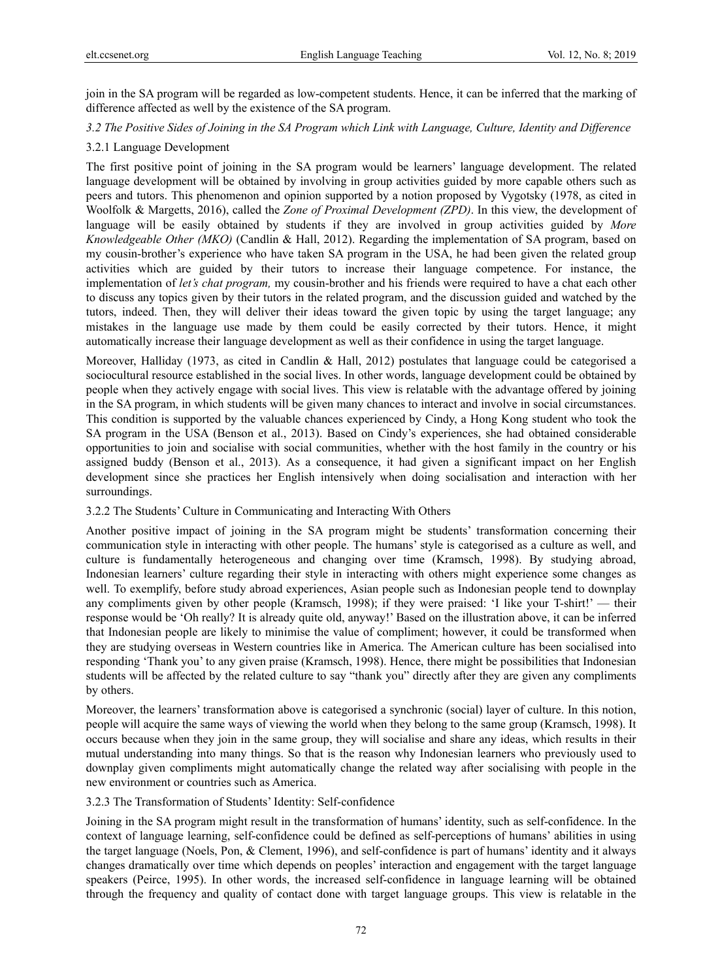join in the SA program will be regarded as low-competent students. Hence, it can be inferred that the marking of difference affected as well by the existence of the SA program.

#### *3.2 The Positive Sides of Joining in the SA Program which Link with Language, Culture, Identity and Difference*

#### 3.2.1 Language Development

The first positive point of joining in the SA program would be learners' language development. The related language development will be obtained by involving in group activities guided by more capable others such as peers and tutors. This phenomenon and opinion supported by a notion proposed by Vygotsky (1978, as cited in Woolfolk & Margetts, 2016), called the *Zone of Proximal Development (ZPD)*. In this view, the development of language will be easily obtained by students if they are involved in group activities guided by *More Knowledgeable Other (MKO)* (Candlin & Hall, 2012). Regarding the implementation of SA program, based on my cousin-brother's experience who have taken SA program in the USA, he had been given the related group activities which are guided by their tutors to increase their language competence. For instance, the implementation of *let's chat program,* my cousin-brother and his friends were required to have a chat each other to discuss any topics given by their tutors in the related program, and the discussion guided and watched by the tutors, indeed. Then, they will deliver their ideas toward the given topic by using the target language; any mistakes in the language use made by them could be easily corrected by their tutors. Hence, it might automatically increase their language development as well as their confidence in using the target language.

Moreover, Halliday (1973, as cited in Candlin & Hall, 2012) postulates that language could be categorised a sociocultural resource established in the social lives. In other words, language development could be obtained by people when they actively engage with social lives. This view is relatable with the advantage offered by joining in the SA program, in which students will be given many chances to interact and involve in social circumstances. This condition is supported by the valuable chances experienced by Cindy, a Hong Kong student who took the SA program in the USA (Benson et al., 2013). Based on Cindy's experiences, she had obtained considerable opportunities to join and socialise with social communities, whether with the host family in the country or his assigned buddy (Benson et al., 2013). As a consequence, it had given a significant impact on her English development since she practices her English intensively when doing socialisation and interaction with her surroundings.

# 3.2.2 The Students' Culture in Communicating and Interacting With Others

Another positive impact of joining in the SA program might be students' transformation concerning their communication style in interacting with other people. The humans' style is categorised as a culture as well, and culture is fundamentally heterogeneous and changing over time (Kramsch, 1998). By studying abroad, Indonesian learners' culture regarding their style in interacting with others might experience some changes as well. To exemplify, before study abroad experiences, Asian people such as Indonesian people tend to downplay any compliments given by other people (Kramsch, 1998); if they were praised: 'I like your T-shirt!' — their response would be 'Oh really? It is already quite old, anyway!' Based on the illustration above, it can be inferred that Indonesian people are likely to minimise the value of compliment; however, it could be transformed when they are studying overseas in Western countries like in America. The American culture has been socialised into responding 'Thank you' to any given praise (Kramsch, 1998). Hence, there might be possibilities that Indonesian students will be affected by the related culture to say "thank you" directly after they are given any compliments by others.

Moreover, the learners' transformation above is categorised a synchronic (social) layer of culture. In this notion, people will acquire the same ways of viewing the world when they belong to the same group (Kramsch, 1998). It occurs because when they join in the same group, they will socialise and share any ideas, which results in their mutual understanding into many things. So that is the reason why Indonesian learners who previously used to downplay given compliments might automatically change the related way after socialising with people in the new environment or countries such as America.

## 3.2.3 The Transformation of Students' Identity: Self-confidence

Joining in the SA program might result in the transformation of humans' identity, such as self-confidence. In the context of language learning, self-confidence could be defined as self-perceptions of humans' abilities in using the target language (Noels, Pon, & Clement, 1996), and self-confidence is part of humans' identity and it always changes dramatically over time which depends on peoples' interaction and engagement with the target language speakers (Peirce, 1995). In other words, the increased self-confidence in language learning will be obtained through the frequency and quality of contact done with target language groups. This view is relatable in the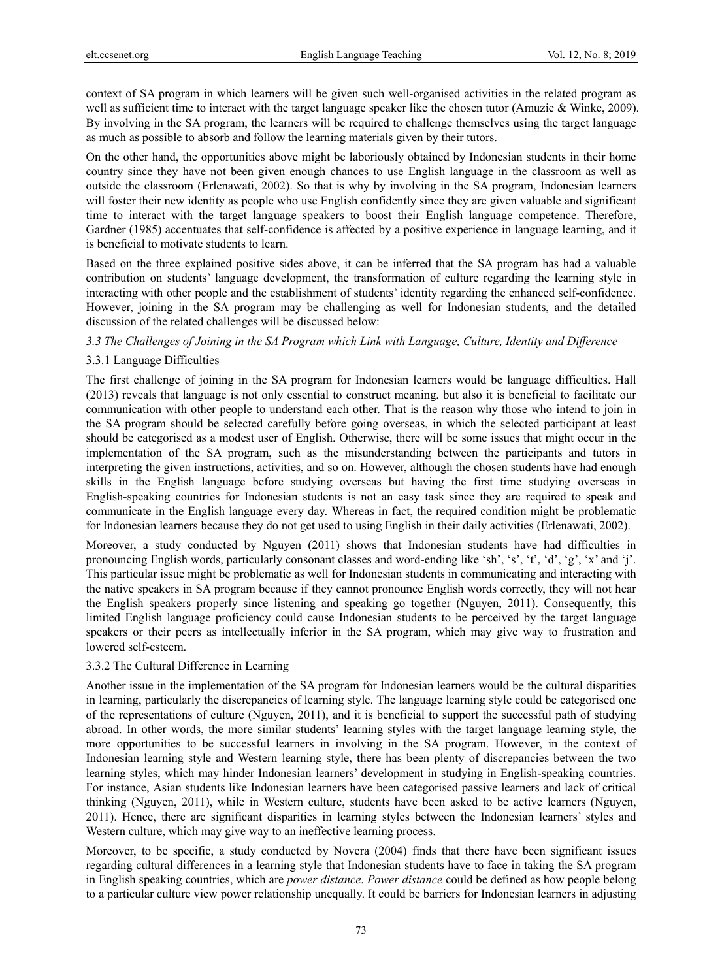context of SA program in which learners will be given such well-organised activities in the related program as well as sufficient time to interact with the target language speaker like the chosen tutor (Amuzie & Winke, 2009). By involving in the SA program, the learners will be required to challenge themselves using the target language as much as possible to absorb and follow the learning materials given by their tutors.

On the other hand, the opportunities above might be laboriously obtained by Indonesian students in their home country since they have not been given enough chances to use English language in the classroom as well as outside the classroom (Erlenawati, 2002). So that is why by involving in the SA program, Indonesian learners will foster their new identity as people who use English confidently since they are given valuable and significant time to interact with the target language speakers to boost their English language competence. Therefore, Gardner (1985) accentuates that self-confidence is affected by a positive experience in language learning, and it is beneficial to motivate students to learn.

Based on the three explained positive sides above, it can be inferred that the SA program has had a valuable contribution on students' language development, the transformation of culture regarding the learning style in interacting with other people and the establishment of students' identity regarding the enhanced self-confidence. However, joining in the SA program may be challenging as well for Indonesian students, and the detailed discussion of the related challenges will be discussed below:

## *3.3 The Challenges of Joining in the SA Program which Link with Language, Culture, Identity and Difference*

## 3.3.1 Language Difficulties

The first challenge of joining in the SA program for Indonesian learners would be language difficulties. Hall (2013) reveals that language is not only essential to construct meaning, but also it is beneficial to facilitate our communication with other people to understand each other. That is the reason why those who intend to join in the SA program should be selected carefully before going overseas, in which the selected participant at least should be categorised as a modest user of English. Otherwise, there will be some issues that might occur in the implementation of the SA program, such as the misunderstanding between the participants and tutors in interpreting the given instructions, activities, and so on. However, although the chosen students have had enough skills in the English language before studying overseas but having the first time studying overseas in English-speaking countries for Indonesian students is not an easy task since they are required to speak and communicate in the English language every day. Whereas in fact, the required condition might be problematic for Indonesian learners because they do not get used to using English in their daily activities (Erlenawati, 2002).

Moreover, a study conducted by Nguyen (2011) shows that Indonesian students have had difficulties in pronouncing English words, particularly consonant classes and word-ending like 'sh', 's', 't', 'd', 'g', 'x' and 'j'. This particular issue might be problematic as well for Indonesian students in communicating and interacting with the native speakers in SA program because if they cannot pronounce English words correctly, they will not hear the English speakers properly since listening and speaking go together (Nguyen, 2011). Consequently, this limited English language proficiency could cause Indonesian students to be perceived by the target language speakers or their peers as intellectually inferior in the SA program, which may give way to frustration and lowered self-esteem.

#### 3.3.2 The Cultural Difference in Learning

Another issue in the implementation of the SA program for Indonesian learners would be the cultural disparities in learning, particularly the discrepancies of learning style. The language learning style could be categorised one of the representations of culture (Nguyen, 2011), and it is beneficial to support the successful path of studying abroad. In other words, the more similar students' learning styles with the target language learning style, the more opportunities to be successful learners in involving in the SA program. However, in the context of Indonesian learning style and Western learning style, there has been plenty of discrepancies between the two learning styles, which may hinder Indonesian learners' development in studying in English-speaking countries. For instance, Asian students like Indonesian learners have been categorised passive learners and lack of critical thinking (Nguyen, 2011), while in Western culture, students have been asked to be active learners (Nguyen, 2011). Hence, there are significant disparities in learning styles between the Indonesian learners' styles and Western culture, which may give way to an ineffective learning process.

Moreover, to be specific, a study conducted by Novera (2004) finds that there have been significant issues regarding cultural differences in a learning style that Indonesian students have to face in taking the SA program in English speaking countries, which are *power distance*. *Power distance* could be defined as how people belong to a particular culture view power relationship unequally. It could be barriers for Indonesian learners in adjusting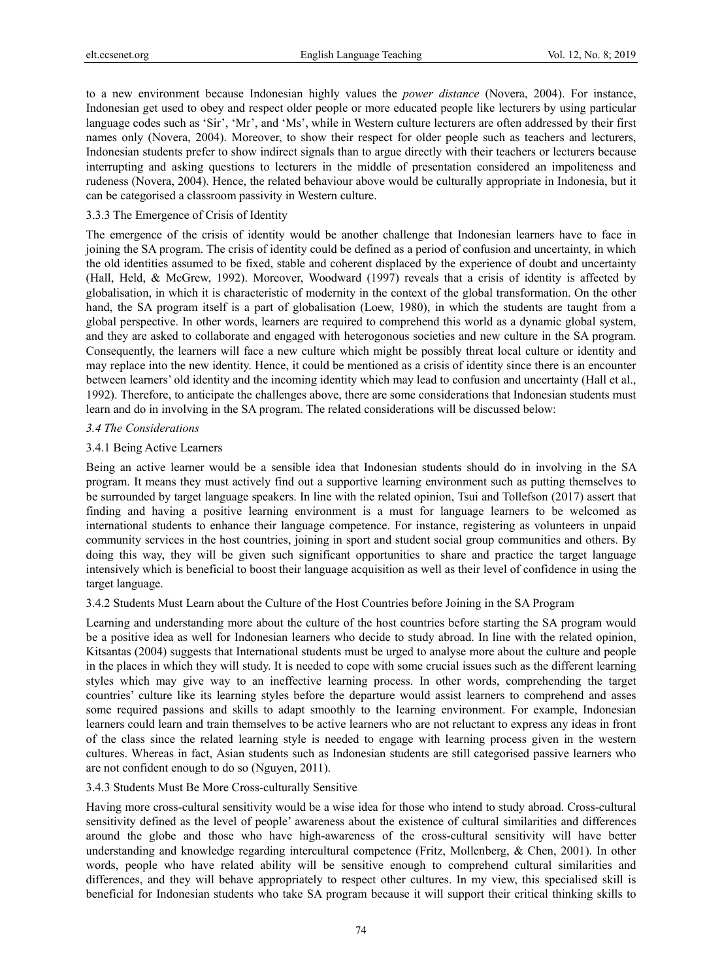to a new environment because Indonesian highly values the *power distance* (Novera, 2004). For instance, Indonesian get used to obey and respect older people or more educated people like lecturers by using particular language codes such as 'Sir', 'Mr', and 'Ms', while in Western culture lecturers are often addressed by their first names only (Novera, 2004). Moreover, to show their respect for older people such as teachers and lecturers, Indonesian students prefer to show indirect signals than to argue directly with their teachers or lecturers because interrupting and asking questions to lecturers in the middle of presentation considered an impoliteness and rudeness (Novera, 2004). Hence, the related behaviour above would be culturally appropriate in Indonesia, but it can be categorised a classroom passivity in Western culture.

#### 3.3.3 The Emergence of Crisis of Identity

The emergence of the crisis of identity would be another challenge that Indonesian learners have to face in joining the SA program. The crisis of identity could be defined as a period of confusion and uncertainty, in which the old identities assumed to be fixed, stable and coherent displaced by the experience of doubt and uncertainty (Hall, Held, & McGrew, 1992). Moreover, Woodward (1997) reveals that a crisis of identity is affected by globalisation, in which it is characteristic of modernity in the context of the global transformation. On the other hand, the SA program itself is a part of globalisation (Loew, 1980), in which the students are taught from a global perspective. In other words, learners are required to comprehend this world as a dynamic global system, and they are asked to collaborate and engaged with heterogonous societies and new culture in the SA program. Consequently, the learners will face a new culture which might be possibly threat local culture or identity and may replace into the new identity. Hence, it could be mentioned as a crisis of identity since there is an encounter between learners' old identity and the incoming identity which may lead to confusion and uncertainty (Hall et al., 1992). Therefore, to anticipate the challenges above, there are some considerations that Indonesian students must learn and do in involving in the SA program. The related considerations will be discussed below:

#### *3.4 The Considerations*

#### 3.4.1 Being Active Learners

Being an active learner would be a sensible idea that Indonesian students should do in involving in the SA program. It means they must actively find out a supportive learning environment such as putting themselves to be surrounded by target language speakers. In line with the related opinion, Tsui and Tollefson (2017) assert that finding and having a positive learning environment is a must for language learners to be welcomed as international students to enhance their language competence. For instance, registering as volunteers in unpaid community services in the host countries, joining in sport and student social group communities and others. By doing this way, they will be given such significant opportunities to share and practice the target language intensively which is beneficial to boost their language acquisition as well as their level of confidence in using the target language.

3.4.2 Students Must Learn about the Culture of the Host Countries before Joining in the SA Program

Learning and understanding more about the culture of the host countries before starting the SA program would be a positive idea as well for Indonesian learners who decide to study abroad. In line with the related opinion, Kitsantas (2004) suggests that International students must be urged to analyse more about the culture and people in the places in which they will study. It is needed to cope with some crucial issues such as the different learning styles which may give way to an ineffective learning process. In other words, comprehending the target countries' culture like its learning styles before the departure would assist learners to comprehend and asses some required passions and skills to adapt smoothly to the learning environment. For example, Indonesian learners could learn and train themselves to be active learners who are not reluctant to express any ideas in front of the class since the related learning style is needed to engage with learning process given in the western cultures. Whereas in fact, Asian students such as Indonesian students are still categorised passive learners who are not confident enough to do so (Nguyen, 2011).

## 3.4.3 Students Must Be More Cross-culturally Sensitive

Having more cross-cultural sensitivity would be a wise idea for those who intend to study abroad. Cross-cultural sensitivity defined as the level of people' awareness about the existence of cultural similarities and differences around the globe and those who have high-awareness of the cross-cultural sensitivity will have better understanding and knowledge regarding intercultural competence (Fritz, Mollenberg, & Chen, 2001). In other words, people who have related ability will be sensitive enough to comprehend cultural similarities and differences, and they will behave appropriately to respect other cultures. In my view, this specialised skill is beneficial for Indonesian students who take SA program because it will support their critical thinking skills to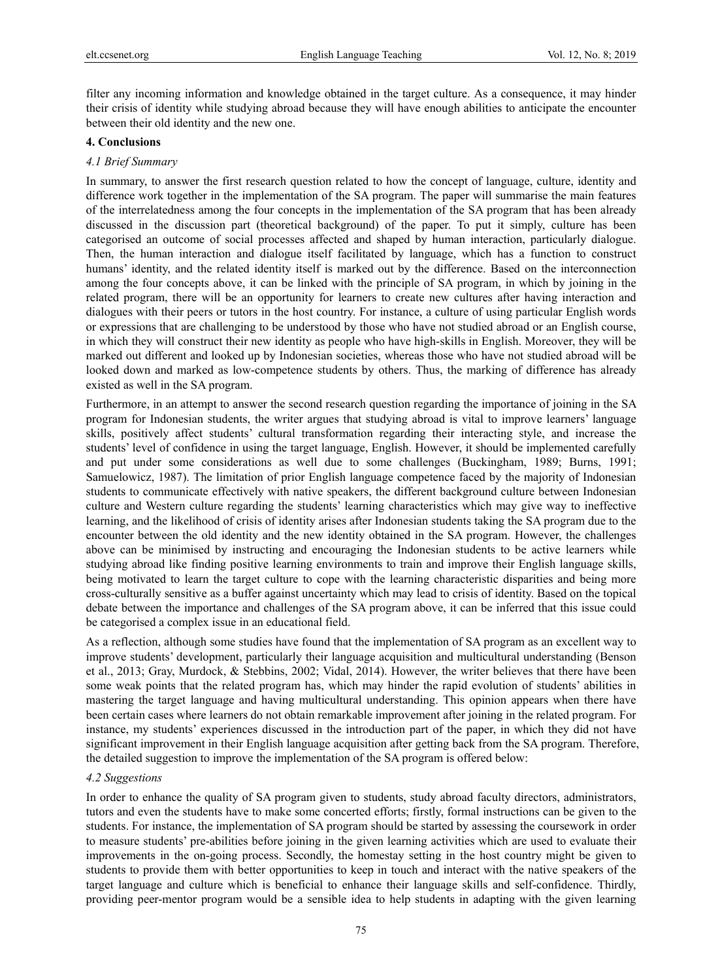filter any incoming information and knowledge obtained in the target culture. As a consequence, it may hinder their crisis of identity while studying abroad because they will have enough abilities to anticipate the encounter between their old identity and the new one.

#### **4. Conclusions**

#### *4.1 Brief Summary*

In summary, to answer the first research question related to how the concept of language, culture, identity and difference work together in the implementation of the SA program. The paper will summarise the main features of the interrelatedness among the four concepts in the implementation of the SA program that has been already discussed in the discussion part (theoretical background) of the paper. To put it simply, culture has been categorised an outcome of social processes affected and shaped by human interaction, particularly dialogue. Then, the human interaction and dialogue itself facilitated by language, which has a function to construct humans' identity, and the related identity itself is marked out by the difference. Based on the interconnection among the four concepts above, it can be linked with the principle of SA program, in which by joining in the related program, there will be an opportunity for learners to create new cultures after having interaction and dialogues with their peers or tutors in the host country. For instance, a culture of using particular English words or expressions that are challenging to be understood by those who have not studied abroad or an English course, in which they will construct their new identity as people who have high-skills in English. Moreover, they will be marked out different and looked up by Indonesian societies, whereas those who have not studied abroad will be looked down and marked as low-competence students by others. Thus, the marking of difference has already existed as well in the SA program.

Furthermore, in an attempt to answer the second research question regarding the importance of joining in the SA program for Indonesian students, the writer argues that studying abroad is vital to improve learners' language skills, positively affect students' cultural transformation regarding their interacting style, and increase the students' level of confidence in using the target language, English. However, it should be implemented carefully and put under some considerations as well due to some challenges (Buckingham, 1989; Burns, 1991; Samuelowicz, 1987). The limitation of prior English language competence faced by the majority of Indonesian students to communicate effectively with native speakers, the different background culture between Indonesian culture and Western culture regarding the students' learning characteristics which may give way to ineffective learning, and the likelihood of crisis of identity arises after Indonesian students taking the SA program due to the encounter between the old identity and the new identity obtained in the SA program. However, the challenges above can be minimised by instructing and encouraging the Indonesian students to be active learners while studying abroad like finding positive learning environments to train and improve their English language skills, being motivated to learn the target culture to cope with the learning characteristic disparities and being more cross-culturally sensitive as a buffer against uncertainty which may lead to crisis of identity. Based on the topical debate between the importance and challenges of the SA program above, it can be inferred that this issue could be categorised a complex issue in an educational field.

As a reflection, although some studies have found that the implementation of SA program as an excellent way to improve students' development, particularly their language acquisition and multicultural understanding (Benson et al., 2013; Gray, Murdock, & Stebbins, 2002; Vidal, 2014). However, the writer believes that there have been some weak points that the related program has, which may hinder the rapid evolution of students' abilities in mastering the target language and having multicultural understanding. This opinion appears when there have been certain cases where learners do not obtain remarkable improvement after joining in the related program. For instance, my students' experiences discussed in the introduction part of the paper, in which they did not have significant improvement in their English language acquisition after getting back from the SA program. Therefore, the detailed suggestion to improve the implementation of the SA program is offered below:

## *4.2 Suggestions*

In order to enhance the quality of SA program given to students, study abroad faculty directors, administrators, tutors and even the students have to make some concerted efforts; firstly, formal instructions can be given to the students. For instance, the implementation of SA program should be started by assessing the coursework in order to measure students' pre-abilities before joining in the given learning activities which are used to evaluate their improvements in the on-going process. Secondly, the homestay setting in the host country might be given to students to provide them with better opportunities to keep in touch and interact with the native speakers of the target language and culture which is beneficial to enhance their language skills and self-confidence. Thirdly, providing peer-mentor program would be a sensible idea to help students in adapting with the given learning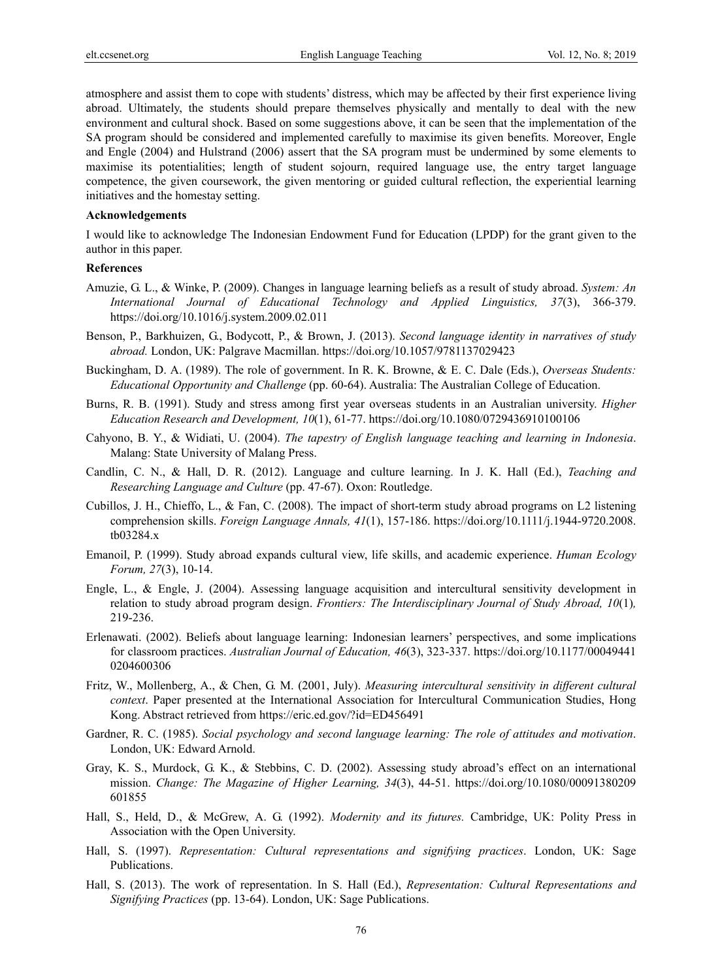atmosphere and assist them to cope with students' distress, which may be affected by their first experience living abroad. Ultimately, the students should prepare themselves physically and mentally to deal with the new environment and cultural shock. Based on some suggestions above, it can be seen that the implementation of the SA program should be considered and implemented carefully to maximise its given benefits. Moreover, Engle and Engle (2004) and Hulstrand (2006) assert that the SA program must be undermined by some elements to maximise its potentialities; length of student sojourn, required language use, the entry target language competence, the given coursework, the given mentoring or guided cultural reflection, the experiential learning initiatives and the homestay setting.

#### **Acknowledgements**

I would like to acknowledge The Indonesian Endowment Fund for Education (LPDP) for the grant given to the author in this paper.

#### **References**

- Amuzie, G. L., & Winke, P. (2009). Changes in language learning beliefs as a result of study abroad. *System: An International Journal of Educational Technology and Applied Linguistics, 37*(3), 366-379. https://doi.org/10.1016/j.system.2009.02.011
- Benson, P., Barkhuizen, G., Bodycott, P., & Brown, J. (2013). *Second language identity in narratives of study abroad.* London, UK: Palgrave Macmillan. https://doi.org/10.1057/9781137029423
- Buckingham, D. A. (1989). The role of government. In R. K. Browne, & E. C. Dale (Eds.), *Overseas Students: Educational Opportunity and Challenge* (pp. 60-64). Australia: The Australian College of Education.
- Burns, R. B. (1991). Study and stress among first year overseas students in an Australian university. *Higher Education Research and Development, 10*(1), 61-77. https://doi.org/10.1080/0729436910100106
- Cahyono, B. Y., & Widiati, U. (2004). *The tapestry of English language teaching and learning in Indonesia*. Malang: State University of Malang Press.
- Candlin, C. N., & Hall, D. R. (2012). Language and culture learning. In J. K. Hall (Ed.), *Teaching and Researching Language and Culture* (pp. 47-67). Oxon: Routledge.
- Cubillos, J. H., Chieffo, L., & Fan, C. (2008). The impact of short-term study abroad programs on L2 listening comprehension skills. *Foreign Language Annals, 41*(1), 157-186. https://doi.org/10.1111/j.1944-9720.2008. tb03284.x
- Emanoil, P. (1999). Study abroad expands cultural view, life skills, and academic experience. *Human Ecology Forum, 27*(3), 10-14.
- Engle, L., & Engle, J. (2004). Assessing language acquisition and intercultural sensitivity development in relation to study abroad program design. *Frontiers: The Interdisciplinary Journal of Study Abroad, 10*(1)*,*  219-236.
- Erlenawati. (2002). Beliefs about language learning: Indonesian learners' perspectives, and some implications for classroom practices. *Australian Journal of Education, 46*(3), 323-337. https://doi.org/10.1177/00049441 0204600306
- Fritz, W., Mollenberg, A., & Chen, G. M. (2001, July). *Measuring intercultural sensitivity in different cultural context*. Paper presented at the International Association for Intercultural Communication Studies, Hong Kong. Abstract retrieved from https://eric.ed.gov/?id=ED456491
- Gardner, R. C. (1985). *Social psychology and second language learning: The role of attitudes and motivation*. London, UK: Edward Arnold.
- Gray, K. S., Murdock, G. K., & Stebbins, C. D. (2002). Assessing study abroad's effect on an international mission. *Change: The Magazine of Higher Learning, 34*(3), 44-51. https://doi.org/10.1080/00091380209 601855
- Hall, S., Held, D., & McGrew, A. G. (1992). *Modernity and its futures.* Cambridge, UK: Polity Press in Association with the Open University.
- Hall, S. (1997). *Representation: Cultural representations and signifying practices*. London, UK: Sage Publications.
- Hall, S. (2013). The work of representation. In S. Hall (Ed.), *Representation: Cultural Representations and Signifying Practices* (pp. 13-64). London, UK: Sage Publications.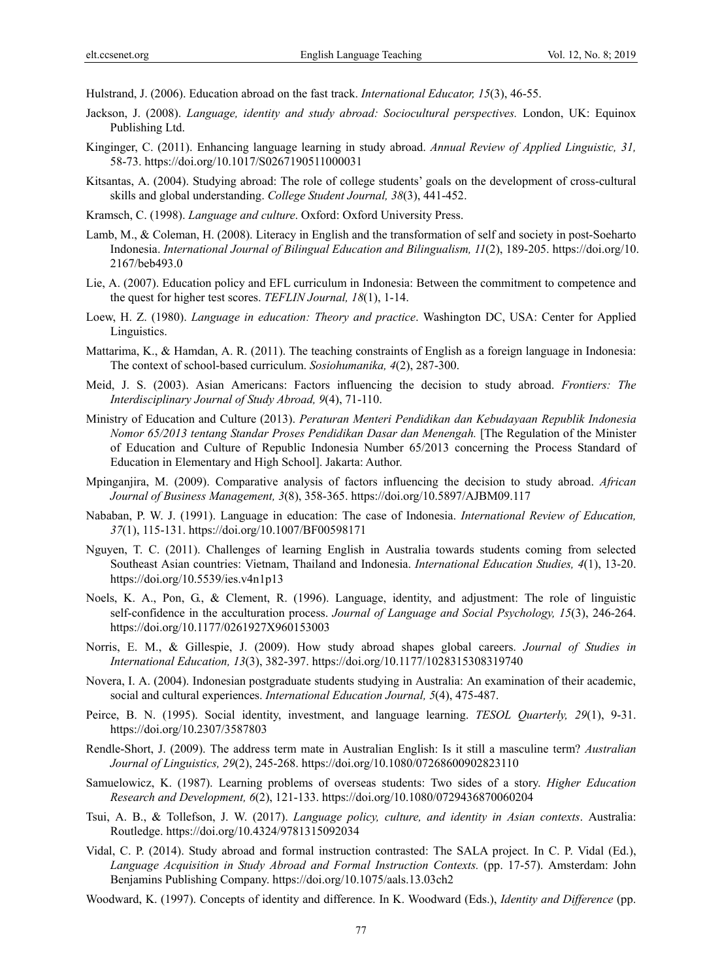Hulstrand, J. (2006). Education abroad on the fast track. *International Educator, 15*(3), 46-55.

- Jackson, J. (2008). *Language, identity and study abroad: Sociocultural perspectives.* London, UK: Equinox Publishing Ltd.
- Kinginger, C. (2011). Enhancing language learning in study abroad. *Annual Review of Applied Linguistic, 31,*  58-73. https://doi.org/10.1017/S0267190511000031
- Kitsantas, A. (2004). Studying abroad: The role of college students' goals on the development of cross-cultural skills and global understanding. *College Student Journal, 38*(3), 441-452.
- Kramsch, C. (1998). *Language and culture*. Oxford: Oxford University Press.
- Lamb, M., & Coleman, H. (2008). Literacy in English and the transformation of self and society in post-Soeharto Indonesia. *International Journal of Bilingual Education and Bilingualism, 11*(2), 189-205. https://doi.org/10. 2167/beb493.0
- Lie, A. (2007). Education policy and EFL curriculum in Indonesia: Between the commitment to competence and the quest for higher test scores. *TEFLIN Journal, 18*(1), 1-14.
- Loew, H. Z. (1980). *Language in education: Theory and practice*. Washington DC, USA: Center for Applied Linguistics.
- Mattarima, K., & Hamdan, A. R. (2011). The teaching constraints of English as a foreign language in Indonesia: The context of school-based curriculum. *Sosiohumanika, 4*(2), 287-300.
- Meid, J. S. (2003). Asian Americans: Factors influencing the decision to study abroad. *Frontiers: The Interdisciplinary Journal of Study Abroad, 9*(4), 71-110.
- Ministry of Education and Culture (2013). *Peraturan Menteri Pendidikan dan Kebudayaan Republik Indonesia Nomor 65/2013 tentang Standar Proses Pendidikan Dasar dan Menengah.* [The Regulation of the Minister of Education and Culture of Republic Indonesia Number 65/2013 concerning the Process Standard of Education in Elementary and High School]. Jakarta: Author.
- Mpinganjira, M. (2009). Comparative analysis of factors influencing the decision to study abroad. *African Journal of Business Management, 3*(8), 358-365. https://doi.org/10.5897/AJBM09.117
- Nababan, P. W. J. (1991). Language in education: The case of Indonesia. *International Review of Education, 37*(1), 115-131. https://doi.org/10.1007/BF00598171
- Nguyen, T. C. (2011). Challenges of learning English in Australia towards students coming from selected Southeast Asian countries: Vietnam, Thailand and Indonesia. *International Education Studies, 4*(1), 13-20. https://doi.org/10.5539/ies.v4n1p13
- Noels, K. A., Pon, G., & Clement, R. (1996). Language, identity, and adjustment: The role of linguistic self-confidence in the acculturation process. *Journal of Language and Social Psychology, 15*(3), 246-264. https://doi.org/10.1177/0261927X960153003
- Norris, E. M., & Gillespie, J. (2009). How study abroad shapes global careers. *Journal of Studies in International Education, 13*(3), 382-397. https://doi.org/10.1177/1028315308319740
- Novera, I. A. (2004). Indonesian postgraduate students studying in Australia: An examination of their academic, social and cultural experiences. *International Education Journal, 5*(4), 475-487.
- Peirce, B. N. (1995). Social identity, investment, and language learning. *TESOL Quarterly, 29*(1), 9-31. https://doi.org/10.2307/3587803
- Rendle-Short, J. (2009). The address term mate in Australian English: Is it still a masculine term? *Australian Journal of Linguistics, 29*(2), 245-268. https://doi.org/10.1080/07268600902823110
- Samuelowicz, K. (1987). Learning problems of overseas students: Two sides of a story. *Higher Education Research and Development, 6*(2), 121-133. https://doi.org/10.1080/0729436870060204
- Tsui, A. B., & Tollefson, J. W. (2017). *Language policy, culture, and identity in Asian contexts*. Australia: Routledge. https://doi.org/10.4324/9781315092034
- Vidal, C. P. (2014). Study abroad and formal instruction contrasted: The SALA project. In C. P. Vidal (Ed.), *Language Acquisition in Study Abroad and Formal Instruction Contexts.* (pp. 17-57). Amsterdam: John Benjamins Publishing Company. https://doi.org/10.1075/aals.13.03ch2
- Woodward, K. (1997). Concepts of identity and difference. In K. Woodward (Eds.), *Identity and Difference* (pp.